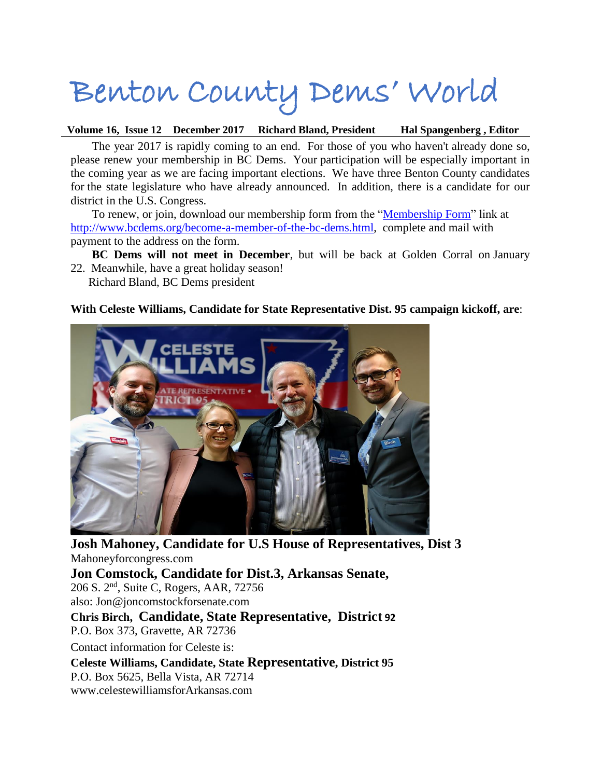# Benton County Dems' World

**Volume 16, Issue 12 December 2017 Richard Bland, President Hal Spangenberg , Editor**

The year 2017 is rapidly coming to an end. For those of you who haven't already done so, please renew your membership in BC Dems. Your participation will be especially important in the coming year as we are facing important elections. We have three Benton County candidates for the state legislature who have already announced. In addition, there is a candidate for our district in the U.S. Congress.

To renew, or join, download our membership form from the ["Membership Form"](http://www.bcdems.org/uploads/2/5/9/5/25950399/bcdems_web_mem_form-2017-07-19_f.pdf) link at [http://www.bcdems.org/become-a-member-of-the-bc-dems.html,](http://www.bcdems.org/become-a-member-of-the-bc-dems.html) complete and mail with payment to the address on the form.

- **BC Dems will not meet in December**, but will be back at Golden Corral on January 22. Meanwhile, have a great holiday season!
	- Richard Bland, BC Dems president

#### **With Celeste Williams, Candidate for State Representative Dist. 95 campaign kickoff, are**:



**Josh Mahoney, Candidate for U.S House of Representatives, Dist 3**  Mahoneyforcongress.com

**Jon Comstock, Candidate for Dist.3, Arkansas Senate,** 206 S. 2nd, Suite C, Rogers, AAR, 72756 also: Jon@joncomstockforsenate.com **Chris Birch, Candidate, State Representative, District 92** P.O. Box 373, Gravette, AR 72736 Contact information for Celeste is: **Celeste Williams, Candidate, State Representative, District 95** P.O. Box 5625, Bella Vista, AR 72714 www.celestewilliamsforArkansas.com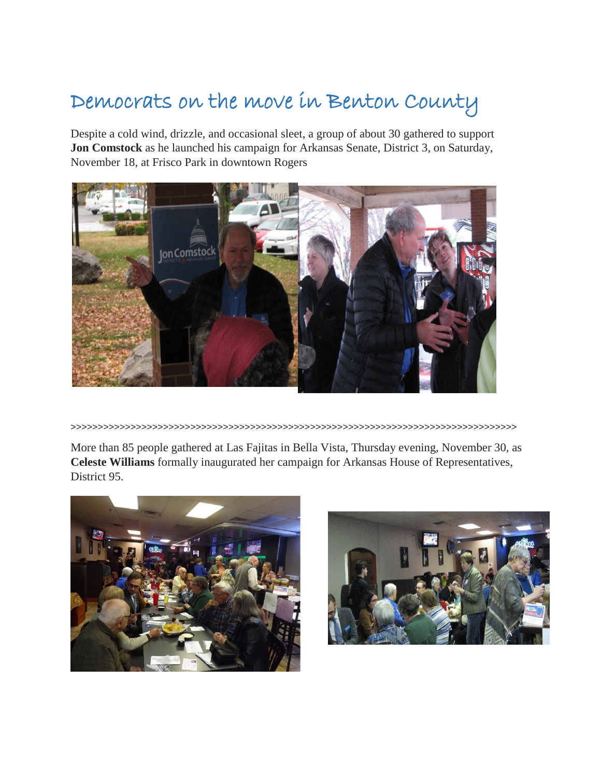# Democrats on the move in Benton County

Despite a cold wind, drizzle, and occasional sleet, a group of about 30 gathered to support **Jon Comstock** as he launched his campaign for Arkansas Senate, District 3, on Saturday, November 18, at Frisco Park in downtown Rogers



>>>>>>>>>>>>>>>>>>>>>>>>>>>>>>>>>>>>>>>>>>>>>>>>>>>>>>>>>>>>>>>>>>>>>>>>>>>>>>>>>>

More than 85 people gathered at Las Fajitas in Bella Vista, Thursday evening, November 30, as **Celeste Williams** formally inaugurated her campaign for Arkansas House of Representatives, District 95.



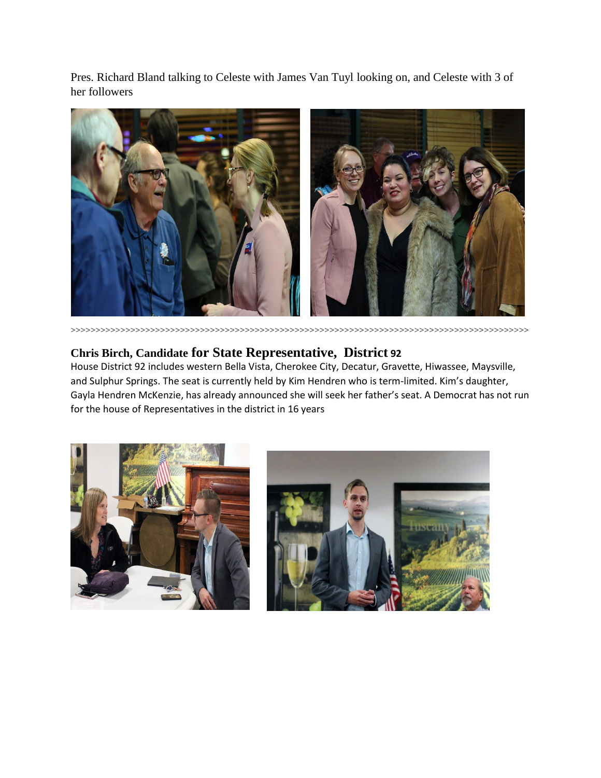Pres. Richard Bland talking to Celeste with James Van Tuyl looking on, and Celeste with 3 of her followers



>>>>>>>>>>>>>>>>>>>>>>>>>>>>>>>>>>>>>>>>>>>>>>>>>>>>>>>>>>>>>>>>>>>>>>>>>>>>>>>>>>>>>>>>>>>>

### **Chris Birch, Candidate for State Representative, District 92**

House District 92 includes western Bella Vista, Cherokee City, Decatur, Gravette, Hiwassee, Maysville, and Sulphur Springs. The seat is currently held by Kim Hendren who is term-limited. Kim's daughter, Gayla Hendren McKenzie, has already announced she will seek her father's seat. A Democrat has not run for the house of Representatives in the district in 16 years